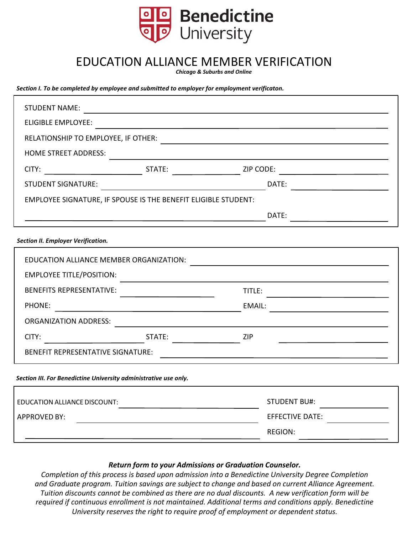

## EDUCATION ALLIANCE MEMBER VERIFICATION

*Chicago & Suburbs and Online*

*Section I. To be completed by employee and submitted to employer for employment verificaton.*

| <b>STUDENT NAME:</b>                                             | <u> 1980 - Jan Samuel Barbara, martin din shekara 1980 - André Samuel Barbara, mashrida a shekara 1980 - André S</u>                                                                                                                                                                                                                                                                                                                                        |                                                           |                                                                                                                       |
|------------------------------------------------------------------|-------------------------------------------------------------------------------------------------------------------------------------------------------------------------------------------------------------------------------------------------------------------------------------------------------------------------------------------------------------------------------------------------------------------------------------------------------------|-----------------------------------------------------------|-----------------------------------------------------------------------------------------------------------------------|
| <b>ELIGIBLE EMPLOYEE:</b>                                        |                                                                                                                                                                                                                                                                                                                                                                                                                                                             |                                                           |                                                                                                                       |
| RELATIONSHIP TO EMPLOYEE, IF OTHER:                              |                                                                                                                                                                                                                                                                                                                                                                                                                                                             |                                                           | <u> 1989 - Johann Barn, mars ann an t-Amhair an t-Amhair an t-Amhair an t-Amhair an t-Amhair an t-Amhair an t-Amh</u> |
| <b>HOME STREET ADDRESS:</b>                                      |                                                                                                                                                                                                                                                                                                                                                                                                                                                             |                                                           |                                                                                                                       |
| CITY:                                                            |                                                                                                                                                                                                                                                                                                                                                                                                                                                             | <b>Example 21P CODE:</b>                                  |                                                                                                                       |
| STUDENT SIGNATURE:                                               | <u> 1980 - Johann Barn, mars an t-Amerikaansk komponister (</u>                                                                                                                                                                                                                                                                                                                                                                                             |                                                           | DATE:                                                                                                                 |
| EMPLOYEE SIGNATURE, IF SPOUSE IS THE BENEFIT ELIGIBLE STUDENT:   |                                                                                                                                                                                                                                                                                                                                                                                                                                                             |                                                           |                                                                                                                       |
|                                                                  |                                                                                                                                                                                                                                                                                                                                                                                                                                                             |                                                           | DATE:                                                                                                                 |
| <b>Section II. Employer Verification.</b>                        |                                                                                                                                                                                                                                                                                                                                                                                                                                                             |                                                           |                                                                                                                       |
| EDUCATION ALLIANCE MEMBER ORGANIZATION:                          |                                                                                                                                                                                                                                                                                                                                                                                                                                                             |                                                           | <u> 1989 - Johann Harry Harry Harry Harry Harry Harry Harry Harry Harry Harry Harry Harry Harry Harry Harry Harry</u> |
| <b>EMPLOYEE TITLE/POSITION:</b>                                  |                                                                                                                                                                                                                                                                                                                                                                                                                                                             |                                                           |                                                                                                                       |
| <b>BENEFITS REPRESENTATIVE:</b>                                  | $\mathcal{L}(\mathcal{L}(\mathcal{L}(\mathcal{L}(\mathcal{L}(\mathcal{L}(\mathcal{L}(\mathcal{L}(\mathcal{L}(\mathcal{L}(\mathcal{L}(\mathcal{L}(\mathcal{L}(\mathcal{L}(\mathcal{L}(\mathcal{L}(\mathcal{L}(\mathcal{L}(\mathcal{L}(\mathcal{L}(\mathcal{L}(\mathcal{L}(\mathcal{L}(\mathcal{L}(\mathcal{L}(\mathcal{L}(\mathcal{L}(\mathcal{L}(\mathcal{L}(\mathcal{L}(\mathcal{L}(\mathcal{L}(\mathcal{L}(\mathcal{L}(\mathcal{L}(\mathcal{L}(\mathcal{$ | TITLE:                                                    | <u> 1989 - Johann Barbara, martxa alemaniar a</u>                                                                     |
| PHONE:                                                           | <u> 1989 - Johann Stoff, fransk politik (d. 1989)</u>                                                                                                                                                                                                                                                                                                                                                                                                       | EMAIL:                                                    |                                                                                                                       |
| <b>ORGANIZATION ADDRESS:</b>                                     |                                                                                                                                                                                                                                                                                                                                                                                                                                                             | <u> 1989 - Andrea Station Books, amerikansk politik (</u> |                                                                                                                       |
| CITY:                                                            | STATE:                                                                                                                                                                                                                                                                                                                                                                                                                                                      | ZIP                                                       |                                                                                                                       |
| <b>BENEFIT REPRESENTATIVE SIGNATURE:</b>                         |                                                                                                                                                                                                                                                                                                                                                                                                                                                             |                                                           | <u> 1989 - Johann Barbara, martxa eta idazlea (h. 1989).</u>                                                          |
| Section III. For Benedictine University administrative use only. |                                                                                                                                                                                                                                                                                                                                                                                                                                                             |                                                           |                                                                                                                       |
| EDUCATION ALLIANCE DISCOUNT:                                     |                                                                                                                                                                                                                                                                                                                                                                                                                                                             |                                                           | <b>STUDENT BU#:</b>                                                                                                   |
| <b>APPROVED BY:</b>                                              | <u> 1980 - Johann Barn, fransk politik (</u>                                                                                                                                                                                                                                                                                                                                                                                                                |                                                           | <b>EFFECTIVE DATE:</b>                                                                                                |
|                                                                  |                                                                                                                                                                                                                                                                                                                                                                                                                                                             |                                                           | <b>REGION:</b>                                                                                                        |

## *Return form to your Admissions or Graduation Counselor.*

*Completion of this process is based upon admission into a Benedictine University Degree Completion and Graduate program. Tuition savings are subject to change and based on current Alliance Agreement. Tuition discounts cannot be combined as there are no dual discounts. A new verification form will be required if continuous enrollment is not maintained. Additional terms and conditions apply. Benedictine University reserves the right to require proof of employment or dependent status.*